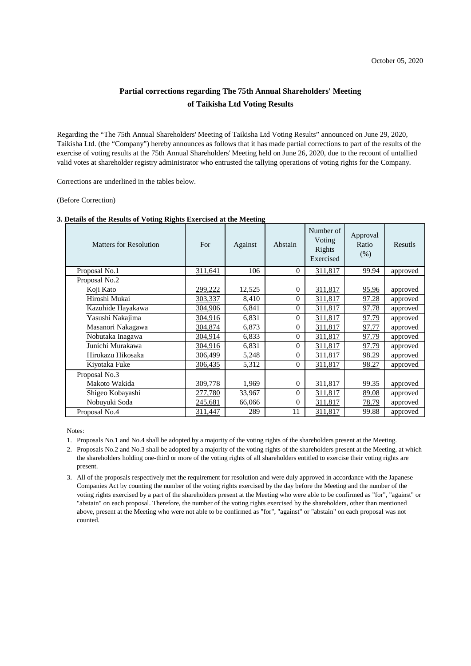## **Partial corrections regarding The 75th Annual Shareholders' Meeting of Taikisha Ltd Voting Results**

Regarding the "The 75th Annual Shareholders' Meeting of Taikisha Ltd Voting Results" announced on June 29, 2020, Taikisha Ltd. (the "Company") hereby announces as follows that it has made partial corrections to part of the results of the exercise of voting results at the 75th Annual Shareholders' Meeting held on June 26, 2020, due to the recount of untallied valid votes at shareholder registry administrator who entrusted the tallying operations of voting rights for the Company.

Corrections are underlined in the tables below.

(Before Correction)

| <b>Matters for Resolution</b> | For     | Against | Abstain        | Number of<br>Voting<br>Rights<br>Exercised | Approval<br>Ratio<br>(% ) | <b>Resutls</b> |
|-------------------------------|---------|---------|----------------|--------------------------------------------|---------------------------|----------------|
| Proposal No.1                 | 311,641 | 106     | $\theta$       | 311,817                                    | 99.94                     | approved       |
| Proposal No.2                 |         |         |                |                                            |                           |                |
| Koji Kato                     | 299,222 | 12,525  | $\overline{0}$ | 311,817                                    | 95.96                     | approved       |
| Hiroshi Mukai                 | 303,337 | 8,410   | $\theta$       | 311,817                                    | 97.28                     | approved       |
| Kazuhide Hayakawa             | 304,906 | 6,841   | $\theta$       | 311,817                                    | 97.78                     | approved       |
| Yasushi Nakajima              | 304,916 | 6,831   | $\theta$       | 311,817                                    | 97.79                     | approved       |
| Masanori Nakagawa             | 304,874 | 6,873   | $\overline{0}$ | 311,817                                    | 97.77                     | approved       |
| Nobutaka Inagawa              | 304,914 | 6,833   | $\theta$       | 311,817                                    | 97.79                     | approved       |
| Junichi Murakawa              | 304,916 | 6,831   | $\theta$       | 311,817                                    | 97.79                     | approved       |
| Hirokazu Hikosaka             | 306,499 | 5,248   | $\theta$       | 311,817                                    | 98.29                     | approved       |
| Kiyotaka Fuke                 | 306,435 | 5,312   | $\theta$       | 311,817                                    | 98.27                     | approved       |
| Proposal No.3                 |         |         |                |                                            |                           |                |
| Makoto Wakida                 | 309,778 | 1,969   | 0              | 311,817                                    | 99.35                     | approved       |
| Shigeo Kobayashi              | 277,780 | 33,967  | $\theta$       | 311,817                                    | 89.08                     | approved       |
| Nobuyuki Soda                 | 245,681 | 66,066  | $\theta$       | 311,817                                    | 78.79                     | approved       |
| Proposal No.4                 | 311,447 | 289     | 11             | 311,817                                    | 99.88                     | approved       |

## **3. Details of the Results of Voting Rights Exercised at the Meeting**

Notes:

1. Proposals No.1 and No.4 shall be adopted by a majority of the voting rights of the shareholders present at the Meeting.

2. Proposals No.2 and No.3 shall be adopted by a majority of the voting rights of the shareholders present at the Meeting, at which the shareholders holding one-third or more of the voting rights of all shareholders entitled to exercise their voting rights are present.

3. All of the proposals respectively met the requirement for resolution and were duly approved in accordance with the Japanese Companies Act by counting the number of the voting rights exercised by the day before the Meeting and the number of the voting rights exercised by a part of the shareholders present at the Meeting who were able to be confirmed as "for", "against" or "abstain" on each proposal. Therefore, the number of the voting rights exercised by the shareholders, other than mentioned above, present at the Meeting who were not able to be confirmed as "for", "against" or "abstain" on each proposal was not counted.